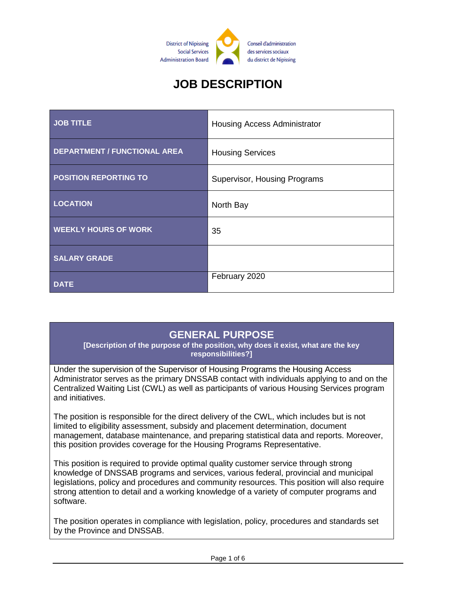

# **JOB DESCRIPTION**

| <b>JOB TITLE</b>                    | Housing Access Administrator |
|-------------------------------------|------------------------------|
| <b>DEPARTMENT / FUNCTIONAL AREA</b> | <b>Housing Services</b>      |
| <b>POSITION REPORTING TO</b>        | Supervisor, Housing Programs |
| <b>LOCATION</b>                     | North Bay                    |
| <b>WEEKLY HOURS OF WORK</b>         | 35                           |
| <b>SALARY GRADE</b>                 |                              |
| <b>DATE</b>                         | February 2020                |

# **GENERAL PURPOSE**

**[Description of the purpose of the position, why does it exist, what are the key responsibilities?]**

Under the supervision of the Supervisor of Housing Programs the Housing Access Administrator serves as the primary DNSSAB contact with individuals applying to and on the Centralized Waiting List (CWL) as well as participants of various Housing Services program and initiatives.

The position is responsible for the direct delivery of the CWL, which includes but is not limited to eligibility assessment, subsidy and placement determination, document management, database maintenance, and preparing statistical data and reports. Moreover, this position provides coverage for the Housing Programs Representative.

This position is required to provide optimal quality customer service through strong knowledge of DNSSAB programs and services, various federal, provincial and municipal legislations, policy and procedures and community resources. This position will also require strong attention to detail and a working knowledge of a variety of computer programs and software.

The position operates in compliance with legislation, policy, procedures and standards set by the Province and DNSSAB.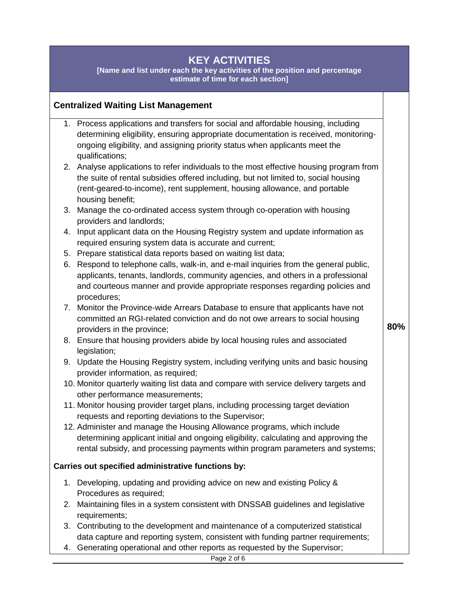# **KEY ACTIVITIES**

**[Name and list under each the key activities of the position and percentage estimate of time for each section]**

#### **Centralized Waiting List Management**

- 1. Process applications and transfers for social and affordable housing, including determining eligibility, ensuring appropriate documentation is received, monitoringongoing eligibility, and assigning priority status when applicants meet the qualifications;
- 2. Analyse applications to refer individuals to the most effective housing program from the suite of rental subsidies offered including, but not limited to, social housing (rent-geared-to-income), rent supplement, housing allowance, and portable housing benefit;
- 3. Manage the co-ordinated access system through co-operation with housing providers and landlords;
- 4. Input applicant data on the Housing Registry system and update information as required ensuring system data is accurate and current;
- 5. Prepare statistical data reports based on waiting list data;
- 6. Respond to telephone calls, walk-in, and e-mail inquiries from the general public, applicants, tenants, landlords, community agencies, and others in a professional and courteous manner and provide appropriate responses regarding policies and procedures;
- 7. Monitor the Province-wide Arrears Database to ensure that applicants have not committed an RGI-related conviction and do not owe arrears to social housing providers in the province;

**80%**

- 8. Ensure that housing providers abide by local housing rules and associated legislation;
- 9. Update the Housing Registry system, including verifying units and basic housing provider information, as required;
- 10. Monitor quarterly waiting list data and compare with service delivery targets and other performance measurements;
- 11. Monitor housing provider target plans, including processing target deviation requests and reporting deviations to the Supervisor;
- 12. Administer and manage the Housing Allowance programs, which include determining applicant initial and ongoing eligibility, calculating and approving the rental subsidy, and processing payments within program parameters and systems;

#### **Carries out specified administrative functions by:**

- 1. Developing, updating and providing advice on new and existing Policy & Procedures as required;
- 2. Maintaining files in a system consistent with DNSSAB guidelines and legislative requirements;
- 3. Contributing to the development and maintenance of a computerized statistical data capture and reporting system, consistent with funding partner requirements;
- 4. Generating operational and other reports as requested by the Supervisor;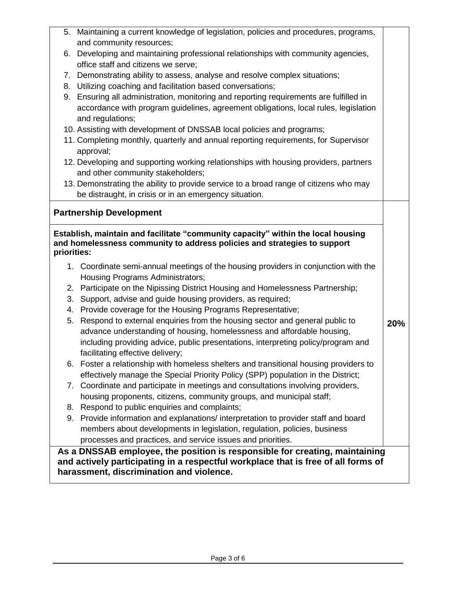|                                                                                                                                                                             | 5. Maintaining a current knowledge of legislation, policies and procedures, programs,                                                                            |     |
|-----------------------------------------------------------------------------------------------------------------------------------------------------------------------------|------------------------------------------------------------------------------------------------------------------------------------------------------------------|-----|
|                                                                                                                                                                             | and community resources;                                                                                                                                         |     |
|                                                                                                                                                                             | 6. Developing and maintaining professional relationships with community agencies,<br>office staff and citizens we serve;                                         |     |
|                                                                                                                                                                             | 7. Demonstrating ability to assess, analyse and resolve complex situations;                                                                                      |     |
|                                                                                                                                                                             | 8. Utilizing coaching and facilitation based conversations;                                                                                                      |     |
|                                                                                                                                                                             | 9. Ensuring all administration, monitoring and reporting requirements are fulfilled in                                                                           |     |
|                                                                                                                                                                             | accordance with program guidelines, agreement obligations, local rules, legislation                                                                              |     |
|                                                                                                                                                                             | and regulations;                                                                                                                                                 |     |
|                                                                                                                                                                             | 10. Assisting with development of DNSSAB local policies and programs;                                                                                            |     |
|                                                                                                                                                                             | 11. Completing monthly, quarterly and annual reporting requirements, for Supervisor<br>approval;                                                                 |     |
|                                                                                                                                                                             | 12. Developing and supporting working relationships with housing providers, partners                                                                             |     |
|                                                                                                                                                                             | and other community stakeholders;                                                                                                                                |     |
|                                                                                                                                                                             | 13. Demonstrating the ability to provide service to a broad range of citizens who may                                                                            |     |
|                                                                                                                                                                             | be distraught, in crisis or in an emergency situation.                                                                                                           |     |
|                                                                                                                                                                             | <b>Partnership Development</b>                                                                                                                                   |     |
|                                                                                                                                                                             |                                                                                                                                                                  |     |
| Establish, maintain and facilitate "community capacity" within the local housing<br>and homelessness community to address policies and strategies to support<br>priorities: |                                                                                                                                                                  |     |
|                                                                                                                                                                             | 1. Coordinate semi-annual meetings of the housing providers in conjunction with the<br>Housing Programs Administrators;                                          |     |
| 2.                                                                                                                                                                          | Participate on the Nipissing District Housing and Homelessness Partnership;                                                                                      |     |
| 3.                                                                                                                                                                          | Support, advise and guide housing providers, as required;                                                                                                        |     |
| 4.                                                                                                                                                                          | Provide coverage for the Housing Programs Representative;                                                                                                        |     |
| 5.                                                                                                                                                                          | Respond to external enquiries from the housing sector and general public to                                                                                      | 20% |
|                                                                                                                                                                             | advance understanding of housing, homelessness and affordable housing,                                                                                           |     |
|                                                                                                                                                                             | including providing advice, public presentations, interpreting policy/program and                                                                                |     |
|                                                                                                                                                                             | facilitating effective delivery;                                                                                                                                 |     |
|                                                                                                                                                                             |                                                                                                                                                                  |     |
|                                                                                                                                                                             | 6. Foster a relationship with homeless shelters and transitional housing providers to                                                                            |     |
|                                                                                                                                                                             | effectively manage the Special Priority Policy (SPP) population in the District;                                                                                 |     |
| 7.                                                                                                                                                                          | Coordinate and participate in meetings and consultations involving providers,                                                                                    |     |
|                                                                                                                                                                             | housing proponents, citizens, community groups, and municipal staff;                                                                                             |     |
| 8.                                                                                                                                                                          | Respond to public enquiries and complaints;                                                                                                                      |     |
| 9.                                                                                                                                                                          | Provide information and explanations/ interpretation to provider staff and board                                                                                 |     |
|                                                                                                                                                                             | members about developments in legislation, regulation, policies, business                                                                                        |     |
|                                                                                                                                                                             | processes and practices, and service issues and priorities.                                                                                                      |     |
|                                                                                                                                                                             | As a DNSSAB employee, the position is responsible for creating, maintaining<br>and actively participating in a respectful workplace that is free of all forms of |     |

**harassment, discrimination and violence.**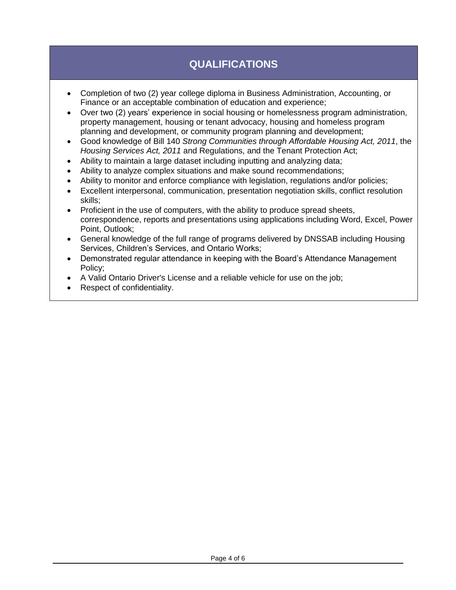# **QUALIFICATIONS**

- Completion of two (2) year college diploma in Business Administration, Accounting, or Finance or an acceptable combination of education and experience;
- Over two (2) years' experience in social housing or homelessness program administration, property management, housing or tenant advocacy, housing and homeless program planning and development, or community program planning and development;
- Good knowledge of Bill 140 *Strong Communities through Affordable Housing Act, 2011*, the *Housing Services Act, 2011* and Regulations, and the Tenant Protection Act;
- Ability to maintain a large dataset including inputting and analyzing data;
- Ability to analyze complex situations and make sound recommendations;
- Ability to monitor and enforce compliance with legislation, regulations and/or policies;
- Excellent interpersonal, communication, presentation negotiation skills, conflict resolution skills;
- Proficient in the use of computers, with the ability to produce spread sheets, correspondence, reports and presentations using applications including Word, Excel, Power Point, Outlook;
- General knowledge of the full range of programs delivered by DNSSAB including Housing Services, Children's Services, and Ontario Works;
- Demonstrated regular attendance in keeping with the Board's Attendance Management Policy;
- A Valid Ontario Driver's License and a reliable vehicle for use on the job;
- Respect of confidentiality.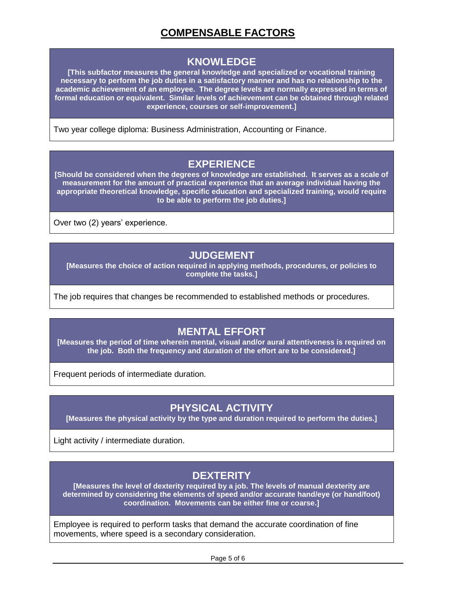# **COMPENSABLE FACTORS**

#### **KNOWLEDGE**

**[This subfactor measures the general knowledge and specialized or vocational training necessary to perform the job duties in a satisfactory manner and has no relationship to the academic achievement of an employee. The degree levels are normally expressed in terms of formal education or equivalent. Similar levels of achievement can be obtained through related experience, courses or self-improvement.]**

Two year college diploma: Business Administration, Accounting or Finance.

#### **EXPERIENCE**

**[Should be considered when the degrees of knowledge are established. It serves as a scale of measurement for the amount of practical experience that an average individual having the appropriate theoretical knowledge, specific education and specialized training, would require to be able to perform the job duties.]**

Over two (2) years' experience.

#### **JUDGEMENT**

**[Measures the choice of action required in applying methods, procedures, or policies to complete the tasks.]**

The job requires that changes be recommended to established methods or procedures.

# **MENTAL EFFORT**

**[Measures the period of time wherein mental, visual and/or aural attentiveness is required on the job. Both the frequency and duration of the effort are to be considered.]**

Frequent periods of intermediate duration.

# **PHYSICAL ACTIVITY**

**[Measures the physical activity by the type and duration required to perform the duties.]**

Light activity / intermediate duration.

#### **DEXTERITY**

**[Measures the level of dexterity required by a job. The levels of manual dexterity are determined by considering the elements of speed and/or accurate hand/eye (or hand/foot) coordination. Movements can be either fine or coarse.]**

Employee is required to perform tasks that demand the accurate coordination of fine movements, where speed is a secondary consideration.

Page 5 of 6